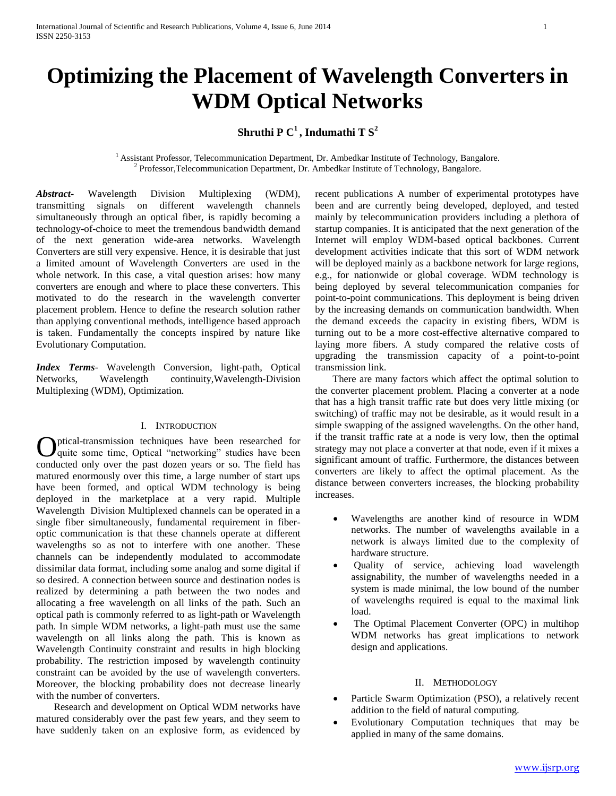# **Optimizing the Placement of Wavelength Converters in WDM Optical Networks**

# **Shruthi P C<sup>1</sup>, Indumathi T S<sup>2</sup>**

<sup>1</sup> Assistant Professor, Telecommunication Department, Dr. Ambedkar Institute of Technology, Bangalore. <sup>2</sup> Professor,Telecommunication Department, Dr. Ambedkar Institute of Technology, Bangalore.

*Abstract***-** Wavelength Division Multiplexing (WDM), transmitting signals on different wavelength channels simultaneously through an optical fiber, is rapidly becoming a technology-of-choice to meet the tremendous bandwidth demand of the next generation wide-area networks. Wavelength Converters are still very expensive. Hence, it is desirable that just a limited amount of Wavelength Converters are used in the whole network. In this case, a vital question arises: how many converters are enough and where to place these converters. This motivated to do the research in the wavelength converter placement problem. Hence to define the research solution rather than applying conventional methods, intelligence based approach is taken. Fundamentally the concepts inspired by nature like Evolutionary Computation.

*Index Terms*- Wavelength Conversion, light-path, Optical Networks, Wavelength continuity,Wavelength-Division Multiplexing (WDM), Optimization.

# I. INTRODUCTION

ptical-transmission techniques have been researched for quite some time, Optical "networking" studies have been **C** ptical-transmission techniques have been researched for quite some time, Optical "networking" studies have been conducted only over the past dozen years or so. The field has matured enormously over this time, a large number of start ups have been formed, and optical WDM technology is being deployed in the marketplace at a very rapid. Multiple Wavelength Division Multiplexed channels can be operated in a single fiber simultaneously, fundamental requirement in fiberoptic communication is that these channels operate at different wavelengths so as not to interfere with one another. These channels can be independently modulated to accommodate dissimilar data format, including some analog and some digital if so desired. A connection between source and destination nodes is realized by determining a path between the two nodes and allocating a free wavelength on all links of the path. Such an optical path is commonly referred to as light-path or Wavelength path. In simple WDM networks, a light-path must use the same wavelength on all links along the path. This is known as Wavelength Continuity constraint and results in high blocking probability. The restriction imposed by wavelength continuity constraint can be avoided by the use of wavelength converters. Moreover, the blocking probability does not decrease linearly with the number of converters.

 Research and development on Optical WDM networks have matured considerably over the past few years, and they seem to have suddenly taken on an explosive form, as evidenced by

recent publications A number of experimental prototypes have been and are currently being developed, deployed, and tested mainly by telecommunication providers including a plethora of startup companies. It is anticipated that the next generation of the Internet will employ WDM-based optical backbones. Current development activities indicate that this sort of WDM network will be deployed mainly as a backbone network for large regions, e.g., for nationwide or global coverage. WDM technology is being deployed by several telecommunication companies for point-to-point communications. This deployment is being driven by the increasing demands on communication bandwidth. When the demand exceeds the capacity in existing fibers, WDM is turning out to be a more cost-effective alternative compared to laying more fibers. A study compared the relative costs of upgrading the transmission capacity of a point-to-point transmission link.

 There are many factors which affect the optimal solution to the converter placement problem. Placing a converter at a node that has a high transit traffic rate but does very little mixing (or switching) of traffic may not be desirable, as it would result in a simple swapping of the assigned wavelengths. On the other hand, if the transit traffic rate at a node is very low, then the optimal strategy may not place a converter at that node, even if it mixes a significant amount of traffic. Furthermore, the distances between converters are likely to affect the optimal placement. As the distance between converters increases, the blocking probability increases.

- Wavelengths are another kind of resource in WDM networks. The number of wavelengths available in a network is always limited due to the complexity of hardware structure.
- Quality of service, achieving load wavelength assignability, the number of wavelengths needed in a system is made minimal, the low bound of the number of wavelengths required is equal to the maximal link load.
- The Optimal Placement Converter (OPC) in multihop WDM networks has great implications to network design and applications.

## II. METHODOLOGY

- Particle Swarm Optimization (PSO), a relatively recent addition to the field of natural computing.
- Evolutionary Computation techniques that may be applied in many of the same domains.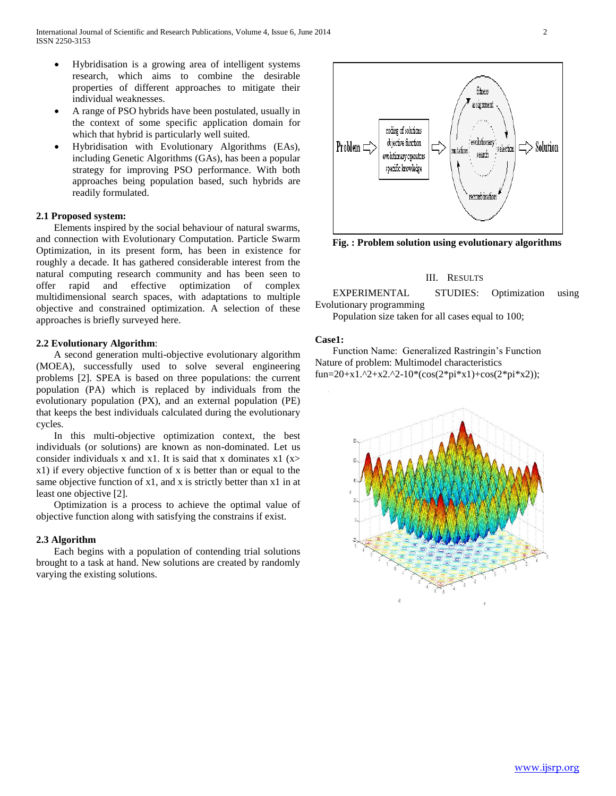- Hybridisation is a growing area of intelligent systems research, which aims to combine the desirable properties of different approaches to mitigate their individual weaknesses.
- A range of PSO hybrids have been postulated, usually in the context of some specific application domain for which that hybrid is particularly well suited.
- Hybridisation with Evolutionary Algorithms (EAs), including Genetic Algorithms (GAs), has been a popular strategy for improving PSO performance. With both approaches being population based, such hybrids are readily formulated.

# **2.1 Proposed system:**

 Elements inspired by the social behaviour of natural swarms, and connection with Evolutionary Computation. Particle Swarm Optimization, in its present form, has been in existence for roughly a decade. It has gathered considerable interest from the natural computing research community and has been seen to offer rapid and effective optimization of complex multidimensional search spaces, with adaptations to multiple objective and constrained optimization. A selection of these approaches is briefly surveyed here.

### **2.2 Evolutionary Algorithm**:

 A second generation multi-objective evolutionary algorithm (MOEA), successfully used to solve several engineering problems [2]. SPEA is based on three populations: the current population (PA) which is replaced by individuals from the evolutionary population (PX), and an external population (PE) that keeps the best individuals calculated during the evolutionary cycles.

 In this multi-objective optimization context, the best individuals (or solutions) are known as non-dominated. Let us consider individuals x and x1. It is said that x dominates  $x1$  (x> x1) if every objective function of x is better than or equal to the same objective function of x1, and x is strictly better than x1 in at least one objective [2].

 Optimization is a process to achieve the optimal value of objective function along with satisfying the constrains if exist.

### **2.3 Algorithm**

 Each begins with a population of contending trial solutions brought to a task at hand. New solutions are created by randomly varying the existing solutions.



**Fig. : Problem solution using evolutionary algorithms**

#### III. RESULTS

 EXPERIMENTAL STUDIES: Optimization using Evolutionary programming

Population size taken for all cases equal to 100;

# **Case1:**

 Function Name: Generalized Rastringin's Function Nature of problem: Multimodel characteristics fun=20+x1.^2+x2.^2-10\*(cos(2\*pi\*x1)+cos(2\*pi\*x2));

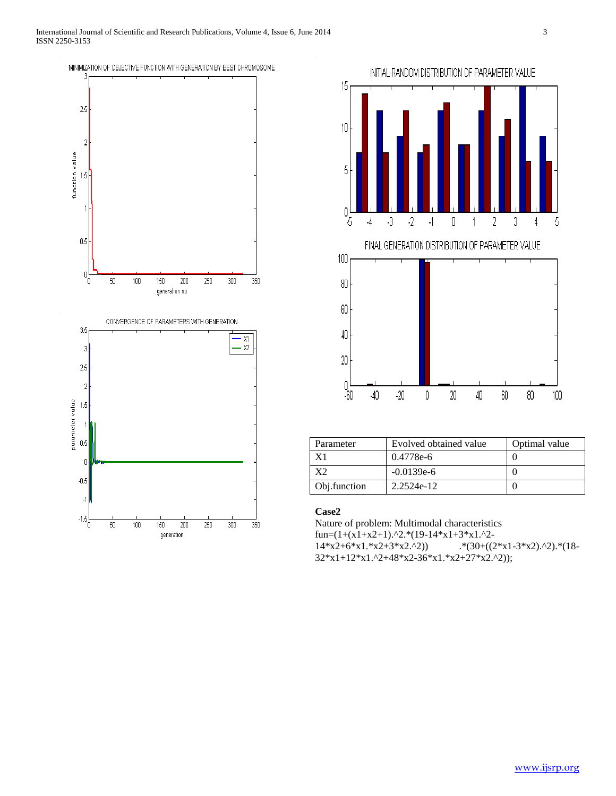



| Parameter    | Evolved obtained value | Optimal value |
|--------------|------------------------|---------------|
|              | 0.4778e-6              |               |
|              | $-0.0139e-6$           |               |
| Obj.function | 2.2524e-12             |               |

# **Case2**

Nature of problem: Multimodal characteristics fun= $(1+(x1+x2+1).^2.(19-14*x1+3*x1.^2 14*x^2+6*x^1.*x^2+3*x^2.^2)$  .\*(30+((2\*x1-3\*x2).^2).\*(18- $32*x1+12*x1.^2+48*x2-36*x1.*x2+27*x2.^2);$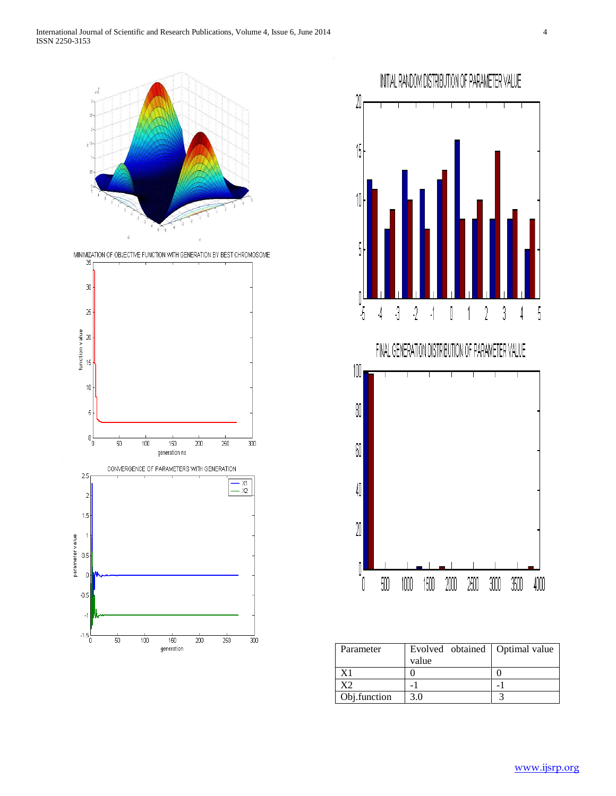

MINIMIZATION OF OBJECTIVE FUNCTION WITH GENERATION BY BEST CHROMOSOME





| Parameter    | Evolved obtained   Optimal value |  |
|--------------|----------------------------------|--|
|              | value                            |  |
| Χ1           |                                  |  |
|              |                                  |  |
| Obj.function | 3.0                              |  |